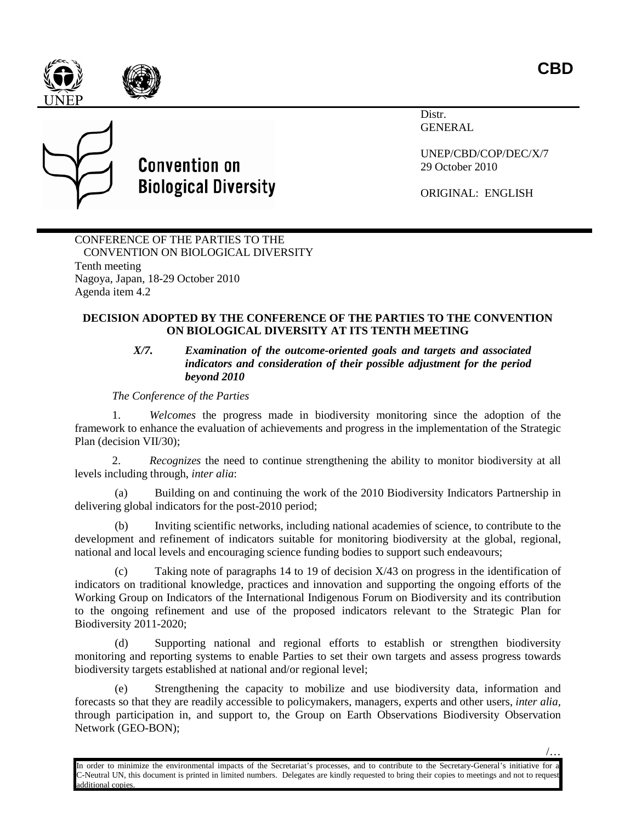/…





## **Convention on Biological Diversity**

Distr. GENERAL

UNEP/CBD/COP/DEC/X/7 29 October 2010

ORIGINAL: ENGLISH

CONFERENCE OF THE PARTIES TO THE CONVENTION ON BIOLOGICAL DIVERSITY Tenth meeting Nagoya, Japan, 18-29 October 2010 Agenda item 4.2

## **DECISION ADOPTED BY THE CONFERENCE OF THE PARTIES TO THE CONVENTION ON BIOLOGICAL DIVERSITY AT ITS TENTH MEETING**

## *X/7. Examination of the outcome-oriented goals and targets and associated indicators and consideration of their possible adjustment for the period beyond 2010*

*The Conference of the Parties*

1. *Welcomes* the progress made in biodiversity monitoring since the adoption of the framework to enhance the evaluation of achievements and progress in the implementation of the Strategic Plan (decision VII/30);

2. *Recognizes* the need to continue strengthening the ability to monitor biodiversity at all levels including through, *inter alia*:

(a) Building on and continuing the work of the 2010 Biodiversity Indicators Partnership in delivering global indicators for the post-2010 period;

(b) Inviting scientific networks, including national academies of science, to contribute to the development and refinement of indicators suitable for monitoring biodiversity at the global, regional, national and local levels and encouraging science funding bodies to support such endeavours;

(c) Taking note of paragraphs 14 to 19 of decision X/43 on progress in the identification of indicators on traditional knowledge, practices and innovation and supporting the ongoing efforts of the Working Group on Indicators of the International Indigenous Forum on Biodiversity and its contribution to the ongoing refinement and use of the proposed indicators relevant to the Strategic Plan for Biodiversity 2011-2020;

(d) Supporting national and regional efforts to establish or strengthen biodiversity monitoring and reporting systems to enable Parties to set their own targets and assess progress towards biodiversity targets established at national and/or regional level;

(e) Strengthening the capacity to mobilize and use biodiversity data, information and forecasts so that they are readily accessible to policymakers, managers, experts and other users, *inter alia,* through participation in, and support to, the Group on Earth Observations Biodiversity Observation Network (GEO-BON);

In order to minimize the environmental impacts of the Secretariat's processes, and to contribute to the Secretary-General's initiative for a C-Neutral UN, this document is printed in limited numbers. Delegates are kindly requested to bring their copies to meetings and not to request additional copies.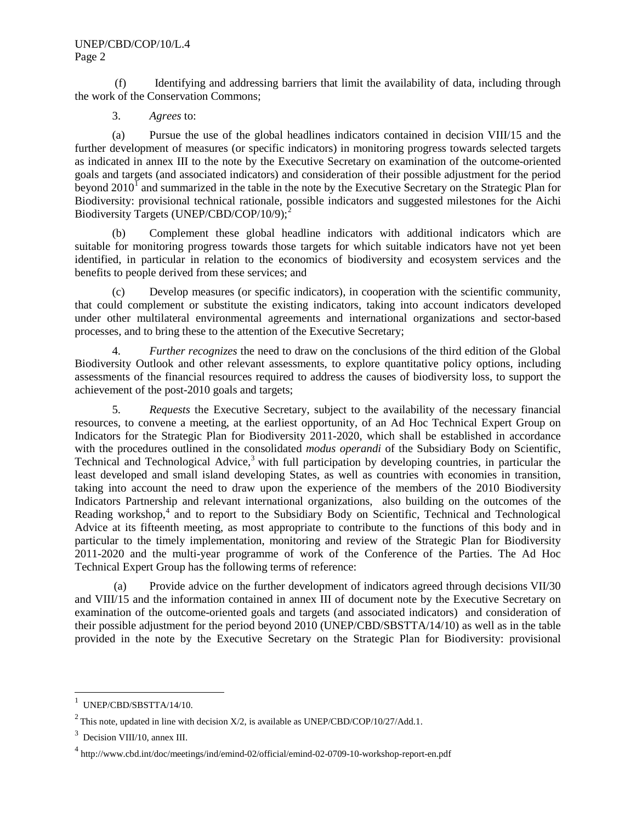## UNEP/CBD/COP/10/L.4 Page 2

(f) Identifying and addressing barriers that limit the availability of data, including through the work of the Conservation Commons;

3. *Agrees* to:

(a) Pursue the use of the global headlines indicators contained in decision VIII/15 and the further development of measures (or specific indicators) in monitoring progress towards selected targets as indicated in annex III to the note by the Executive Secretary on examination of the outcome-oriented goals and targets (and associated indicators) and consideration of their possible adjustment for the period beyond  $2010<sup>1</sup>$  $2010<sup>1</sup>$  $2010<sup>1</sup>$  and summarized in the table in the note by the Executive Secretary on the Strategic Plan for Biodiversity: provisional technical rationale, possible indicators and suggested milestones for the Aichi Biodiversity Targets (UNEP/CBD/COP/10/9);<sup>[2](#page-1-1)</sup>

(b) Complement these global headline indicators with additional indicators which are suitable for monitoring progress towards those targets for which suitable indicators have not yet been identified, in particular in relation to the economics of biodiversity and ecosystem services and the benefits to people derived from these services; and

(c) Develop measures (or specific indicators), in cooperation with the scientific community, that could complement or substitute the existing indicators, taking into account indicators developed under other multilateral environmental agreements and international organizations and sector-based processes, and to bring these to the attention of the Executive Secretary;

4. *Further recognizes* the need to draw on the conclusions of the third edition of the Global Biodiversity Outlook and other relevant assessments, to explore quantitative policy options, including assessments of the financial resources required to address the causes of biodiversity loss, to support the achievement of the post-2010 goals and targets;

5. *Requests* the Executive Secretary, subject to the availability of the necessary financial resources, to convene a meeting, at the earliest opportunity, of an Ad Hoc Technical Expert Group on Indicators for the Strategic Plan for Biodiversity 2011-2020, which shall be established in accordance with the procedures outlined in the consolidated *modus operandi* of the Subsidiary Body on Scientific, Technical and Technological Advice, $3$  with full participation by developing countries, in particular the least developed and small island developing States, as well as countries with economies in transition, taking into account the need to draw upon the experience of the members of the 2010 Biodiversity Indicators Partnership and relevant international organizations, also building on the outcomes of the Reading workshop,<sup>[4](#page-1-3)</sup> and to report to the Subsidiary Body on Scientific, Technical and Technological Advice at its fifteenth meeting, as most appropriate to contribute to the functions of this body and in particular to the timely implementation, monitoring and review of the Strategic Plan for Biodiversity 2011-2020 and the multi-year programme of work of the Conference of the Parties. The Ad Hoc Technical Expert Group has the following terms of reference:

(a) Provide advice on the further development of indicators agreed through decisions VII/30 and VIII/15 and the information contained in annex III of document note by the Executive Secretary on examination of the outcome-oriented goals and targets (and associated indicators) and consideration of their possible adjustment for the period beyond 2010 (UNEP/CBD/SBSTTA/14/10) as well as in the table provided in the note by the Executive Secretary on the Strategic Plan for Biodiversity: provisional

 $\frac{1}{1}$  $1$  UNEP/CBD/SBSTTA/14/10.

<span id="page-1-1"></span><span id="page-1-0"></span><sup>&</sup>lt;sup>2</sup> This note, updated in line with decision  $X/2$ , is available as UNEP/CBD/COP/10/27/Add.1.

<span id="page-1-2"></span><sup>&</sup>lt;sup>3</sup> Decision VIII/10, annex III.

<span id="page-1-3"></span><sup>4</sup> http://www.cbd.int/doc/meetings/ind/emind-02/official/emind-02-0709-10-workshop-report-en.pdf